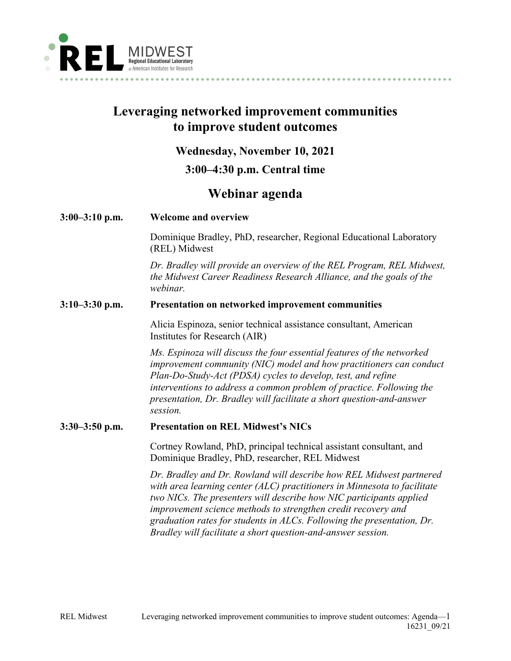

# **Leveraging networked improvement communities to improve student outcomes**

## **Wednesday, November 10, 2021**

## **3:00–4:30 p.m. Central time**

# **Webinar agenda**

## **3:00–3:10 p.m. Welcome and overview**

Dominique Bradley, PhD, researcher, Regional Educational Laboratory (REL) Midwest

*Dr. Bradley will provide an overview of the REL Program, REL Midwest, the Midwest Career Readiness Research Alliance, and the goals of the webinar.* 

## **3:10–3:30 p.m. Presentation on networked improvement communities**

Alicia Espinoza, senior technical assistance consultant, American Institutes for Research (AIR)

*Ms. Espinoza will discuss the four essential features of the networked improvement community (NIC) model and how practitioners can conduct Plan-Do-Study-Act (PDSA) cycles to develop, test, and refine interventions to address a common problem of practice. Following the presentation, Dr. Bradley will facilitate a short question-and-answer session.*

## **3:30–3:50 p.m. Presentation on REL Midwest's NICs**

Cortney Rowland, PhD, principal technical assistant consultant, and Dominique Bradley, PhD, researcher, REL Midwest

*Dr. Bradley and Dr. Rowland will describe how REL Midwest partnered with area learning center (ALC) practitioners in Minnesota to facilitate two NICs. The presenters will describe how NIC participants applied improvement science methods to strengthen credit recovery and graduation rates for students in ALCs. Following the presentation, Dr. Bradley will facilitate a short question-and-answer session.*